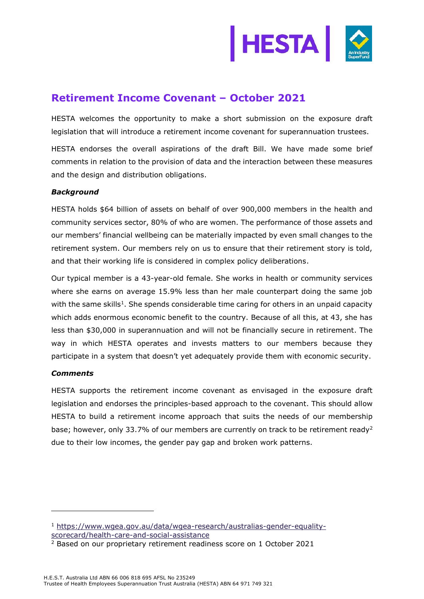

# **Retirement Income Covenant – October 2021**

HESTA welcomes the opportunity to make a short submission on the exposure draft legislation that will introduce a retirement income covenant for superannuation trustees.

HESTA endorses the overall aspirations of the draft Bill. We have made some brief comments in relation to the provision of data and the interaction between these measures and the design and distribution obligations.

## *Background*

HESTA holds \$64 billion of assets on behalf of over 900,000 members in the health and community services sector, 80% of who are women. The performance of those assets and our members' financial wellbeing can be materially impacted by even small changes to the retirement system. Our members rely on us to ensure that their retirement story is told, and that their working life is considered in complex policy deliberations.

Our typical member is a 43-year-old female. She works in health or community services where she earns on average 15.9% less than her male counterpart doing the same job with the same skills<sup>1</sup>. She spends considerable time caring for others in an unpaid capacity which adds enormous economic benefit to the country. Because of all this, at 43, she has less than \$30,000 in superannuation and will not be financially secure in retirement. The way in which HESTA operates and invests matters to our members because they participate in a system that doesn't yet adequately provide them with economic security.

## *Comments*

HESTA supports the retirement income covenant as envisaged in the exposure draft legislation and endorses the principles-based approach to the covenant. This should allow HESTA to build a retirement income approach that suits the needs of our membership base; however, only 33.7% of our members are currently on track to be retirement ready<sup>2</sup> due to their low incomes, the gender pay gap and broken work patterns.

<sup>1</sup> [https://www.wgea.gov.au/data/wgea-research/australias-gender-equality](https://www.wgea.gov.au/data/wgea-research/australias-gender-equality-scorecard/health-care-and-social-assistance)[scorecard/health-care-and-social-assistance](https://www.wgea.gov.au/data/wgea-research/australias-gender-equality-scorecard/health-care-and-social-assistance)

<sup>2</sup> Based on our proprietary retirement readiness score on 1 October 2021